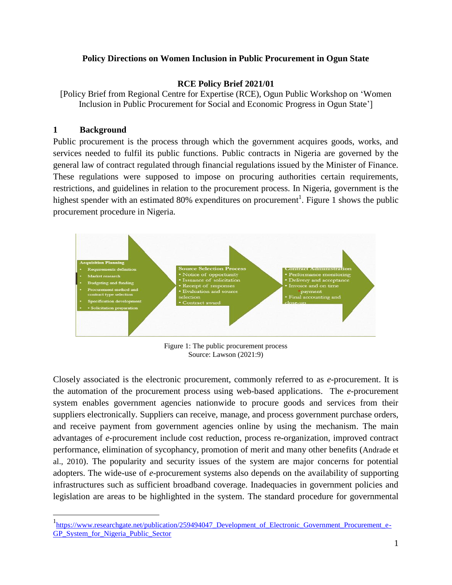## **Policy Directions on Women Inclusion in Public Procurement in Ogun State**

### **RCE Policy Brief 2021/01**

[Policy Brief from Regional Centre for Expertise (RCE), Ogun Public Workshop on 'Women Inclusion in Public Procurement for Social and Economic Progress in Ogun State']

## **1 Background**

 $\overline{a}$ 

Public procurement is the process through which the government acquires goods, works, and services needed to fulfil its public functions. Public contracts in Nigeria are governed by the general law of contract regulated through financial regulations issued by the Minister of Finance. These regulations were supposed to impose on procuring authorities certain requirements, restrictions, and guidelines in relation to the procurement process. In Nigeria, government is the highest spender with an estimated 80% expenditures on procurement<sup>1</sup>. Figure 1 shows the public procurement procedure in Nigeria.



Figure 1: The public procurement process Source: Lawson (2021:9)

Closely associated is the electronic procurement, commonly referred to as *e*-procurement. It is the automation of the procurement process using web-based applications. The *e*-procurement system enables government agencies nationwide to procure goods and services from their suppliers electronically. Suppliers can receive, manage, and process government purchase orders, and receive payment from government agencies online by using the mechanism. The main advantages of *e*-procurement include cost reduction, process re-organization, improved contract performance, elimination of sycophancy, promotion of merit and many other benefits (Andrade et al., 2010). The popularity and security issues of the system are major concerns for potential adopters. The wide-use of *e*-procurement systems also depends on the availability of supporting infrastructures such as sufficient broadband coverage. Inadequacies in government policies and legislation are areas to be highlighted in the system. The standard procedure for governmental

<sup>&</sup>lt;sup>1</sup>https://www.researchgate.net/publication/259494047 Development of Electronic Government Procurement e-[GP\\_System\\_for\\_Nigeria\\_Public\\_Sector](https://www.researchgate.net/publication/259494047_Development_of_Electronic_Government_Procurement_e-GP_System_for_Nigeria_Public_Sector)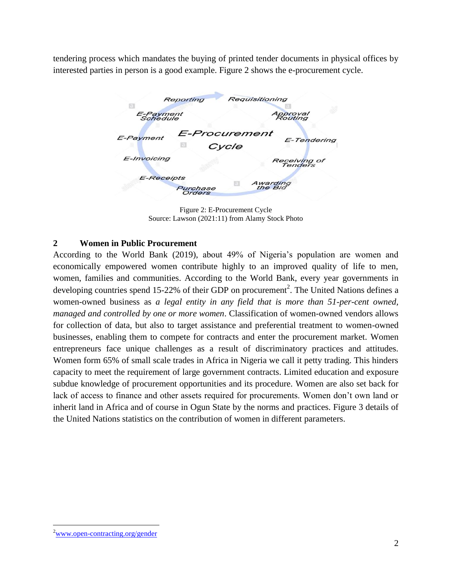tendering process which mandates the buying of printed tender documents in physical offices by interested parties in person is a good example. Figure 2 shows the e-procurement cycle.

| Reporting             |                           | Requisitioning          |
|-----------------------|---------------------------|-------------------------|
| E-Payment<br>Schedule |                           | <b>Approval</b>         |
| E-Payment             | E-Procurement<br>Cycle    | E-Tendering             |
| E-Invoicing           |                           | Receiving of<br>Tenders |
| <b>E-Receipts</b>     | Purchase<br><b>Orders</b> | Awarding<br>the Bid     |

Figure 2: E-Procurement Cycle Source: Lawson (2021:11) from Alamy Stock Photo

## **2 Women in Public Procurement**

According to the World Bank (2019), about 49% of Nigeria's population are women and economically empowered women contribute highly to an improved quality of life to men, women, families and communities. According to the World Bank, every year governments in developing countries spend 15-22% of their GDP on procurement<sup>2</sup>. The United Nations defines a women-owned business as *a legal entity in any field that is more than 51-per-cent owned, managed and controlled by one or more women*. Classification of women-owned vendors allows for collection of data, but also to target assistance and preferential treatment to women-owned businesses, enabling them to compete for contracts and enter the procurement market. Women entrepreneurs face unique challenges as a result of discriminatory practices and attitudes. Women form 65% of small scale trades in Africa in Nigeria we call it petty trading. This hinders capacity to meet the requirement of large government contracts. Limited education and exposure subdue knowledge of procurement opportunities and its procedure. Women are also set back for lack of access to finance and other assets required for procurements. Women don't own land or inherit land in Africa and of course in Ogun State by the norms and practices. Figure 3 details of the United Nations statistics on the contribution of women in different parameters.

 $\overline{a}$ 

<sup>&</sup>lt;sup>2</sup>[www.open-contracting.org/gender](http://www.open-contracting.org/gender)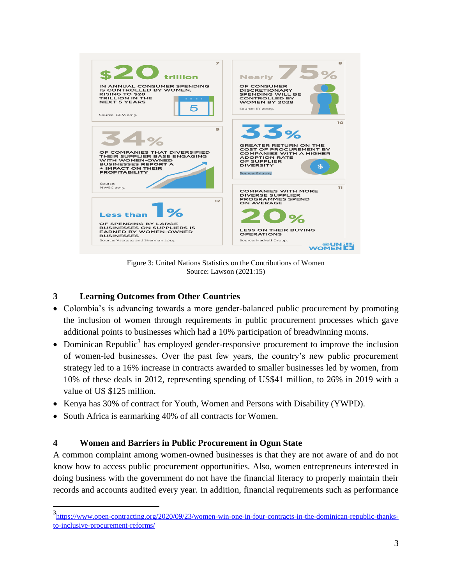

Figure 3: United Nations Statistics on the Contributions of Women Source: Lawson (2021:15)

# **3 Learning Outcomes from Other Countries**

- Colombia's is advancing towards a more gender-balanced public procurement by promoting the inclusion of women through requirements in public procurement processes which gave additional points to businesses which had a 10% participation of breadwinning moms.
- Dominican Republic<sup>3</sup> has employed gender-responsive procurement to improve the inclusion of women-led businesses. Over the past few years, the country's new public procurement strategy led to a 16% increase in contracts awarded to smaller businesses led by women, from 10% of these deals in 2012, representing spending of US\$41 million, to 26% in 2019 with a value of US \$125 million.
- Kenya has 30% of contract for Youth, Women and Persons with Disability (YWPD).
- South Africa is earmarking 40% of all contracts for Women.

 $\overline{a}$ 

# **4 Women and Barriers in Public Procurement in Ogun State**

A common complaint among women-owned businesses is that they are not aware of and do not know how to access public procurement opportunities. Also, women entrepreneurs interested in doing business with the government do not have the financial literacy to properly maintain their records and accounts audited every year. In addition, financial requirements such as performance

<sup>&</sup>lt;sup>3</sup>[https://www.open-contracting.org/2020/09/23/women-win-one-in-four-contracts-in-the-dominican-republic-thanks](https://www.open-contracting.org/2020/09/23/women-win-one-in-four-contracts-in-the-dominican-republic-thanks-to-inclusive-procurement-reforms/)[to-inclusive-procurement-reforms/](https://www.open-contracting.org/2020/09/23/women-win-one-in-four-contracts-in-the-dominican-republic-thanks-to-inclusive-procurement-reforms/)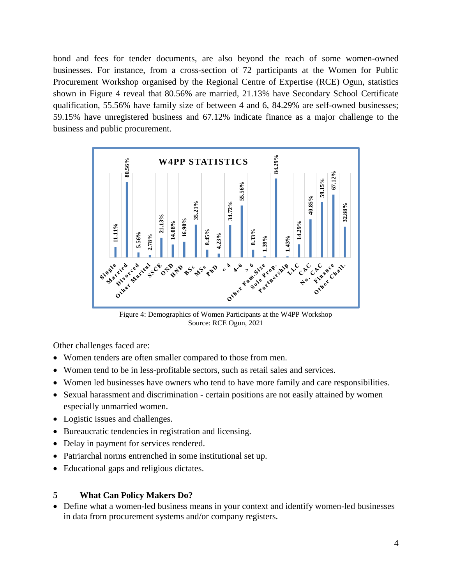bond and fees for tender documents, are also beyond the reach of some women-owned businesses. For instance, from a cross-section of 72 participants at the Women for Public Procurement Workshop organised by the Regional Centre of Expertise (RCE) Ogun, statistics shown in Figure 4 reveal that 80.56% are married, 21.13% have Secondary School Certificate qualification, 55.56% have family size of between 4 and 6, 84.29% are self-owned businesses; 59.15% have unregistered business and 67.12% indicate finance as a major challenge to the business and public procurement.



Figure 4: Demographics of Women Participants at the W4PP Workshop Source: RCE Ogun, 2021

Other challenges faced are:

- Women tenders are often smaller compared to those from men.
- Women tend to be in less-profitable sectors, such as retail sales and services.
- Women led businesses have owners who tend to have more family and care responsibilities.
- Sexual harassment and discrimination certain positions are not easily attained by women especially unmarried women.
- Logistic issues and challenges.
- Bureaucratic tendencies in registration and licensing.
- Delay in payment for services rendered.
- Patriarchal norms entrenched in some institutional set up.
- Educational gaps and religious dictates.

### **5 What Can Policy Makers Do?**

Define what a women-led business means in your context and identify women-led businesses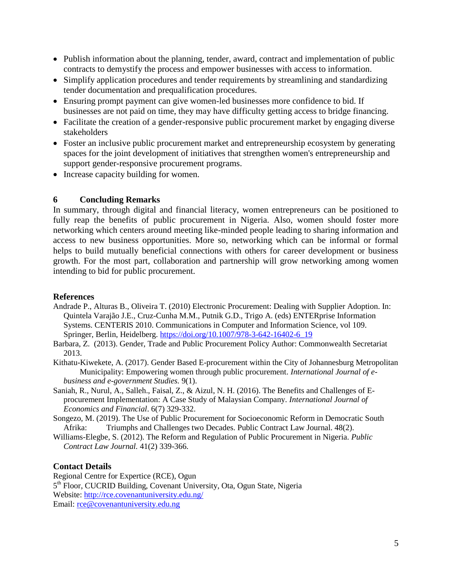- Publish information about the planning, tender, award, contract and implementation of public contracts to demystify the process and empower businesses with access to information.
- Simplify application procedures and tender requirements by streamlining and standardizing tender documentation and prequalification procedures.
- Ensuring prompt payment can give women-led businesses more confidence to bid. If businesses are not paid on time, they may have difficulty getting access to bridge financing.
- Facilitate the creation of a gender-responsive public procurement market by engaging diverse stakeholders
- Foster an inclusive public procurement market and entrepreneurship ecosystem by generating spaces for the joint development of initiatives that strengthen women's entrepreneurship and support gender-responsive procurement programs.
- Increase capacity building for women.

## **6 Concluding Remarks**

In summary, through digital and financial literacy, women entrepreneurs can be positioned to fully reap the benefits of public procurement in Nigeria. Also, women should foster more networking which centers around meeting like-minded people leading to sharing information and access to new business opportunities. More so, networking which can be informal or formal helps to build mutually beneficial connections with others for career development or business growth. For the most part, collaboration and partnership will grow networking among women intending to bid for public procurement.

### **References**

- Andrade P., Alturas B., Oliveira T. (2010) Electronic Procurement: Dealing with Supplier Adoption. In: Quintela Varajão J.E., Cruz-Cunha M.M., Putnik G.D., Trigo A. (eds) ENTERprise Information Systems. CENTERIS 2010. Communications in Computer and Information Science, vol 109. Springer, Berlin, Heidelberg. [https://doi.org/10.1007/978-3-642-16402-6\\_19](https://doi.org/10.1007/978-3-642-16402-6_19)
- Barbara, Z. (2013). Gender, Trade and Public Procurement Policy Author: Commonwealth Secretariat 2013.
- Kithatu-Kiwekete, A. (2017). Gender Based E-procurement within the City of Johannesburg Metropolitan Municipality: Empowering women through public procurement. *International Journal of ebusiness and e-government Studies.* 9(1).
- Saniah, R., Nurul, A., Salleh., Faisal, Z., & Aizul, N. H. (2016). The Benefits and Challenges of Eprocurement Implementation: A Case Study of Malaysian Company. *International Journal of Economics and Financial*. 6(7) 329-332.
- Songezo, M. (2019). The Use of Public Procurement for Socioeconomic Reform in Democratic South Afrika: Triumphs and Challenges two Decades. Public Contract Law Journal. 48(2).
- Williams-Elegbe, S. (2012). The Reform and Regulation of Public Procurement in Nigeria. *Public Contract Law Journal.* 41(2) 339-366.

### **Contact Details**

Regional Centre for Expertice (RCE), Ogun 5<sup>th</sup> Floor, CUCRID Building, Covenant University, Ota, Ogun State, Nigeria Website: http://rce.covenantuniversity.edu.ng/ Email: [rce@covenantuniversity.edu.ng](mailto:rce@covenantuniversity.edu.ng)